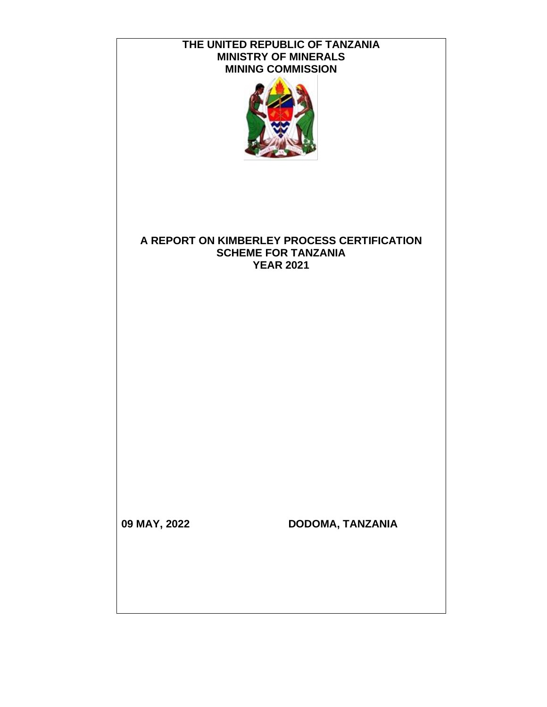| THE UNITED REPUBLIC OF TANZANIA<br><b>MINISTRY OF MINERALS</b><br><b>MINING COMMISSION</b> |                                                                                               |  |  |  |  |
|--------------------------------------------------------------------------------------------|-----------------------------------------------------------------------------------------------|--|--|--|--|
|                                                                                            | A REPORT ON KIMBERLEY PROCESS CERTIFICATION<br><b>SCHEME FOR TANZANIA</b><br><b>YEAR 2021</b> |  |  |  |  |
| 09 MAY, 2022                                                                               | DODOMA, TANZANIA                                                                              |  |  |  |  |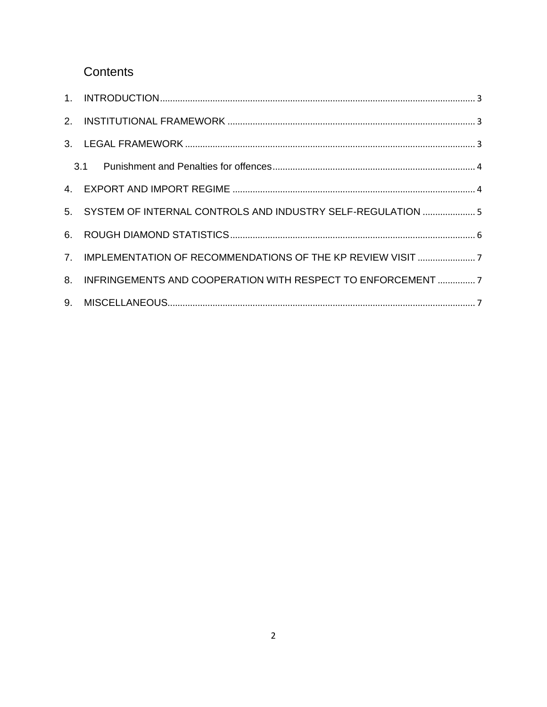# Contents

| 5. SYSTEM OF INTERNAL CONTROLS AND INDUSTRY SELF-REGULATION  5  |  |
|-----------------------------------------------------------------|--|
|                                                                 |  |
|                                                                 |  |
| 8. INFRINGEMENTS AND COOPERATION WITH RESPECT TO ENFORCEMENT  7 |  |
|                                                                 |  |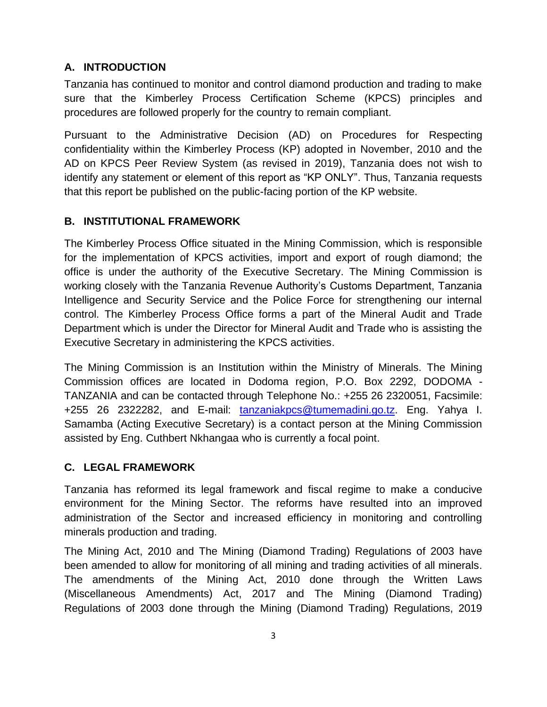# <span id="page-2-0"></span>**A. INTRODUCTION**

Tanzania has continued to monitor and control diamond production and trading to make sure that the Kimberley Process Certification Scheme (KPCS) principles and procedures are followed properly for the country to remain compliant.

Pursuant to the Administrative Decision (AD) on Procedures for Respecting confidentiality within the Kimberley Process (KP) adopted in November, 2010 and the AD on KPCS Peer Review System (as revised in 2019), Tanzania does not wish to identify any statement or element of this report as "KP ONLY". Thus, Tanzania requests that this report be published on the public-facing portion of the KP website.

# <span id="page-2-1"></span>**B. INSTITUTIONAL FRAMEWORK**

The Kimberley Process Office situated in the Mining Commission, which is responsible for the implementation of KPCS activities, import and export of rough diamond; the office is under the authority of the Executive Secretary. The Mining Commission is working closely with the Tanzania Revenue Authority's Customs Department, Tanzania Intelligence and Security Service and the Police Force for strengthening our internal control. The Kimberley Process Office forms a part of the Mineral Audit and Trade Department which is under the Director for Mineral Audit and Trade who is assisting the Executive Secretary in administering the KPCS activities.

The Mining Commission is an Institution within the Ministry of Minerals. The Mining Commission offices are located in Dodoma region, P.O. Box 2292, DODOMA - TANZANIA and can be contacted through Telephone No.: +255 26 2320051, Facsimile: +255 26 2322282, and E-mail: [tanzaniakpcs@tumemadini.go.tz.](mailto:tanzaniakpcs@tumemadini.go.tz) Eng. Yahya I. Samamba (Acting Executive Secretary) is a contact person at the Mining Commission assisted by Eng. Cuthbert Nkhangaa who is currently a focal point.

## <span id="page-2-2"></span>**C. LEGAL FRAMEWORK**

Tanzania has reformed its legal framework and fiscal regime to make a conducive environment for the Mining Sector. The reforms have resulted into an improved administration of the Sector and increased efficiency in monitoring and controlling minerals production and trading.

The Mining Act, 2010 and The Mining (Diamond Trading) Regulations of 2003 have been amended to allow for monitoring of all mining and trading activities of all minerals. The amendments of the Mining Act, 2010 done through the Written Laws (Miscellaneous Amendments) Act, 2017 and The Mining (Diamond Trading) Regulations of 2003 done through the Mining (Diamond Trading) Regulations, 2019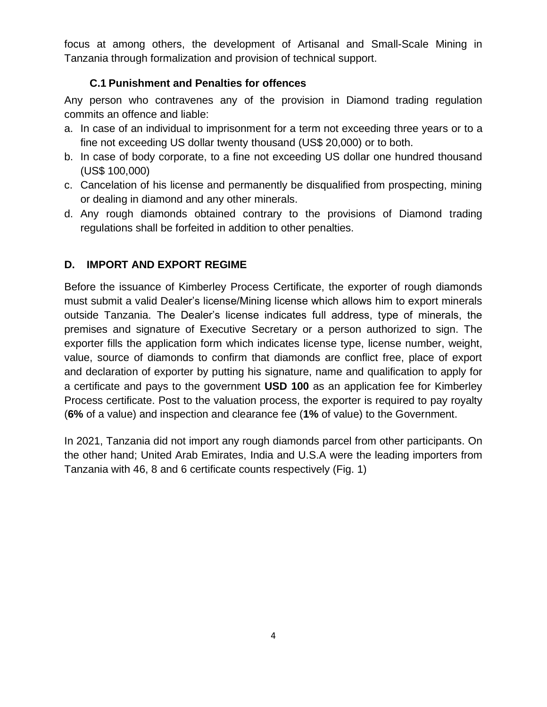focus at among others, the development of Artisanal and Small-Scale Mining in Tanzania through formalization and provision of technical support.

## **C.1 Punishment and Penalties for offences**

<span id="page-3-0"></span>Any person who contravenes any of the provision in Diamond trading regulation commits an offence and liable:

- a. In case of an individual to imprisonment for a term not exceeding three years or to a fine not exceeding US dollar twenty thousand (US\$ 20,000) or to both.
- b. In case of body corporate, to a fine not exceeding US dollar one hundred thousand (US\$ 100,000)
- c. Cancelation of his license and permanently be disqualified from prospecting, mining or dealing in diamond and any other minerals.
- d. Any rough diamonds obtained contrary to the provisions of Diamond trading regulations shall be forfeited in addition to other penalties.

# <span id="page-3-1"></span>**D. IMPORT AND EXPORT REGIME**

Before the issuance of Kimberley Process Certificate, the exporter of rough diamonds must submit a valid Dealer's license/Mining license which allows him to export minerals outside Tanzania. The Dealer's license indicates full address, type of minerals, the premises and signature of Executive Secretary or a person authorized to sign. The exporter fills the application form which indicates license type, license number, weight, value, source of diamonds to confirm that diamonds are conflict free, place of export and declaration of exporter by putting his signature, name and qualification to apply for a certificate and pays to the government **USD 100** as an application fee for Kimberley Process certificate. Post to the valuation process, the exporter is required to pay royalty (**6%** of a value) and inspection and clearance fee (**1%** of value) to the Government.

In 2021, Tanzania did not import any rough diamonds parcel from other participants. On the other hand; United Arab Emirates, India and U.S.A were the leading importers from Tanzania with 46, 8 and 6 certificate counts respectively (Fig. 1)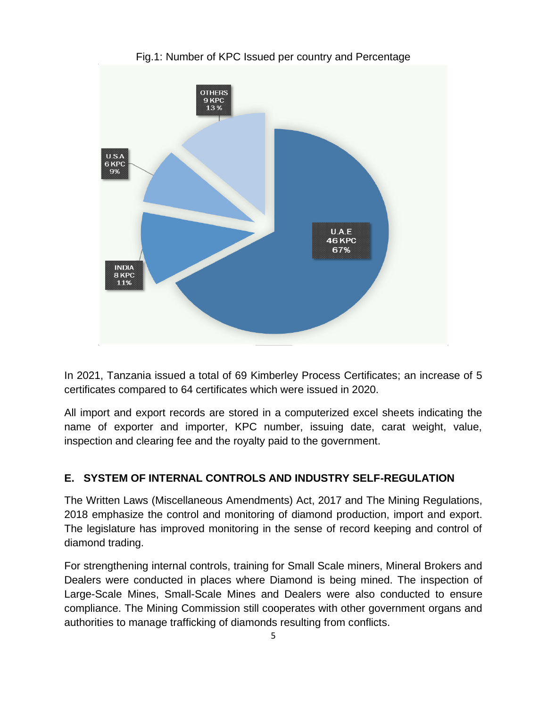

Fig.1: Number of KPC Issued per country and Percentage

In 2021, Tanzania issued a total of 69 Kimberley Process Certificates; an increase of 5 certificates compared to 64 certificates which were issued in 2020.

All import and export records are stored in a computerized excel sheets indicating the name of exporter and importer, KPC number, issuing date, carat weight, value, inspection and clearing fee and the royalty paid to the government.

#### <span id="page-4-0"></span>**E. SYSTEM OF INTERNAL CONTROLS AND INDUSTRY SELF-REGULATION**

The Written Laws (Miscellaneous Amendments) Act, 2017 and The Mining Regulations, 2018 emphasize the control and monitoring of diamond production, import and export. The legislature has improved monitoring in the sense of record keeping and control of diamond trading.

For strengthening internal controls, training for Small Scale miners, Mineral Brokers and Dealers were conducted in places where Diamond is being mined. The inspection of Large-Scale Mines, Small-Scale Mines and Dealers were also conducted to ensure compliance. The Mining Commission still cooperates with other government organs and authorities to manage trafficking of diamonds resulting from conflicts.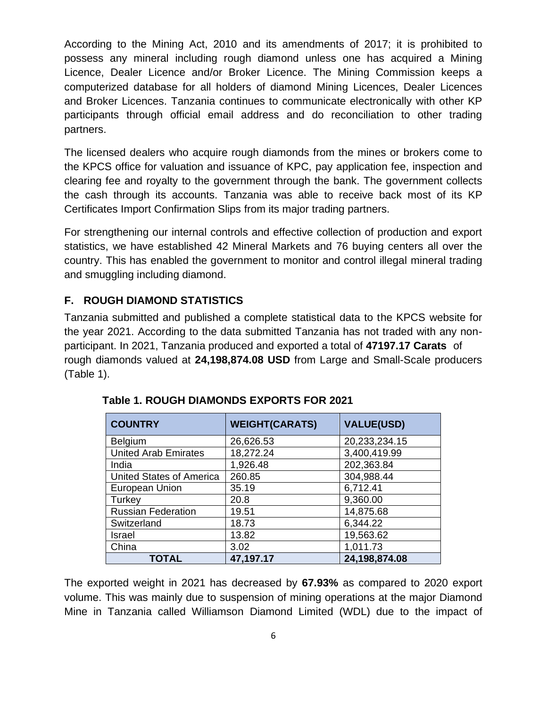According to the Mining Act, 2010 and its amendments of 2017; it is prohibited to possess any mineral including rough diamond unless one has acquired a Mining Licence, Dealer Licence and/or Broker Licence. The Mining Commission keeps a computerized database for all holders of diamond Mining Licences, Dealer Licences and Broker Licences. Tanzania continues to communicate electronically with other KP participants through official email address and do reconciliation to other trading partners.

The licensed dealers who acquire rough diamonds from the mines or brokers come to the KPCS office for valuation and issuance of KPC, pay application fee, inspection and clearing fee and royalty to the government through the bank. The government collects the cash through its accounts. Tanzania was able to receive back most of its KP Certificates Import Confirmation Slips from its major trading partners.

For strengthening our internal controls and effective collection of production and export statistics, we have established 42 Mineral Markets and 76 buying centers all over the country. This has enabled the government to monitor and control illegal mineral trading and smuggling including diamond.

## <span id="page-5-0"></span>**F. ROUGH DIAMOND STATISTICS**

Tanzania submitted and published a complete statistical data to the KPCS website for the year 2021. According to the data submitted Tanzania has not traded with any nonparticipant. In 2021, Tanzania produced and exported a total of **47197.17 Carats** of rough diamonds valued at **24,198,874.08 USD** from Large and Small-Scale producers (Table 1).

| <b>COUNTRY</b>                  | <b>WEIGHT(CARATS)</b> | <b>VALUE(USD)</b> |  |
|---------------------------------|-----------------------|-------------------|--|
| Belgium                         | 26,626.53             | 20,233,234.15     |  |
| <b>United Arab Emirates</b>     | 18,272.24             | 3,400,419.99      |  |
| India                           | 1,926.48              | 202,363.84        |  |
| <b>United States of America</b> | 260.85                | 304,988.44        |  |
| European Union                  | 35.19                 | 6,712.41          |  |
| Turkey                          | 20.8                  | 9,360.00          |  |
| <b>Russian Federation</b>       | 19.51                 | 14,875.68         |  |
| Switzerland                     | 18.73                 | 6,344.22          |  |
| Israel                          | 13.82                 | 19,563.62         |  |
| China                           | 3.02                  | 1,011.73          |  |
| <b>TOTAL</b>                    | 47,197.17             | 24,198,874.08     |  |

|  | <b>Table 1. ROUGH DIAMONDS EXPORTS FOR 2021</b> |  |  |  |
|--|-------------------------------------------------|--|--|--|
|--|-------------------------------------------------|--|--|--|

The exported weight in 2021 has decreased by **67.93%** as compared to 2020 export volume. This was mainly due to suspension of mining operations at the major Diamond Mine in Tanzania called Williamson Diamond Limited (WDL) due to the impact of